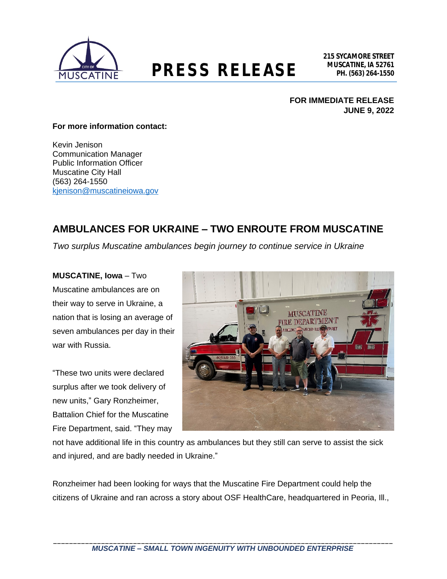

## **MUSCATINE, IA 52761 PRESS RELEASE PH. (563) 264-1550**

## **FOR IMMEDIATE RELEASE JUNE 9, 2022**

### **For more information contact:**

Kevin Jenison Communication Manager Public Information Officer Muscatine City Hall (563) 264-1550 [kjenison@muscatineiowa.gov](mailto:kjenison@muscatineiowa.gov)

## **AMBULANCES FOR UKRAINE – TWO ENROUTE FROM MUSCATINE**

*Two surplus Muscatine ambulances begin journey to continue service in Ukraine*

### **MUSCATINE, Iowa** – Two

Muscatine ambulances are on their way to serve in Ukraine, a nation that is losing an average of seven ambulances per day in their war with Russia.

"These two units were declared surplus after we took delivery of new units," Gary Ronzheimer, Battalion Chief for the Muscatine Fire Department, said. "They may



not have additional life in this country as ambulances but they still can serve to assist the sick and injured, and are badly needed in Ukraine."

Ronzheimer had been looking for ways that the Muscatine Fire Department could help the citizens of Ukraine and ran across a story about OSF HealthCare, headquartered in Peoria, Ill.,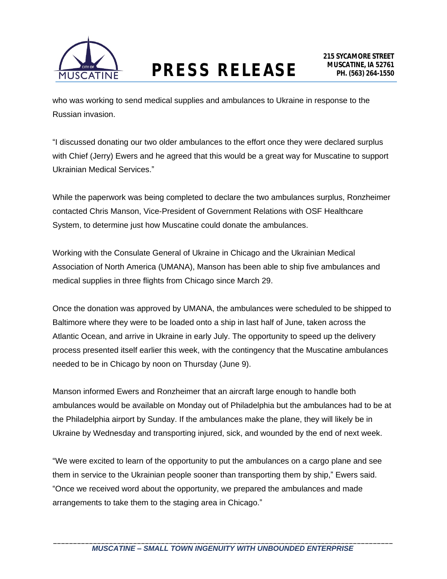

who was working to send medical supplies and ambulances to Ukraine in response to the Russian invasion.

"I discussed donating our two older ambulances to the effort once they were declared surplus with Chief (Jerry) Ewers and he agreed that this would be a great way for Muscatine to support Ukrainian Medical Services."

While the paperwork was being completed to declare the two ambulances surplus, Ronzheimer contacted Chris Manson, Vice-President of Government Relations with OSF Healthcare System, to determine just how Muscatine could donate the ambulances.

Working with the Consulate General of Ukraine in Chicago and the Ukrainian Medical Association of North America (UMANA), Manson has been able to ship five ambulances and medical supplies in three flights from Chicago since March 29.

Once the donation was approved by UMANA, the ambulances were scheduled to be shipped to Baltimore where they were to be loaded onto a ship in last half of June, taken across the Atlantic Ocean, and arrive in Ukraine in early July. The opportunity to speed up the delivery process presented itself earlier this week, with the contingency that the Muscatine ambulances needed to be in Chicago by noon on Thursday (June 9).

Manson informed Ewers and Ronzheimer that an aircraft large enough to handle both ambulances would be available on Monday out of Philadelphia but the ambulances had to be at the Philadelphia airport by Sunday. If the ambulances make the plane, they will likely be in Ukraine by Wednesday and transporting injured, sick, and wounded by the end of next week.

"We were excited to learn of the opportunity to put the ambulances on a cargo plane and see them in service to the Ukrainian people sooner than transporting them by ship," Ewers said. "Once we received word about the opportunity, we prepared the ambulances and made arrangements to take them to the staging area in Chicago."